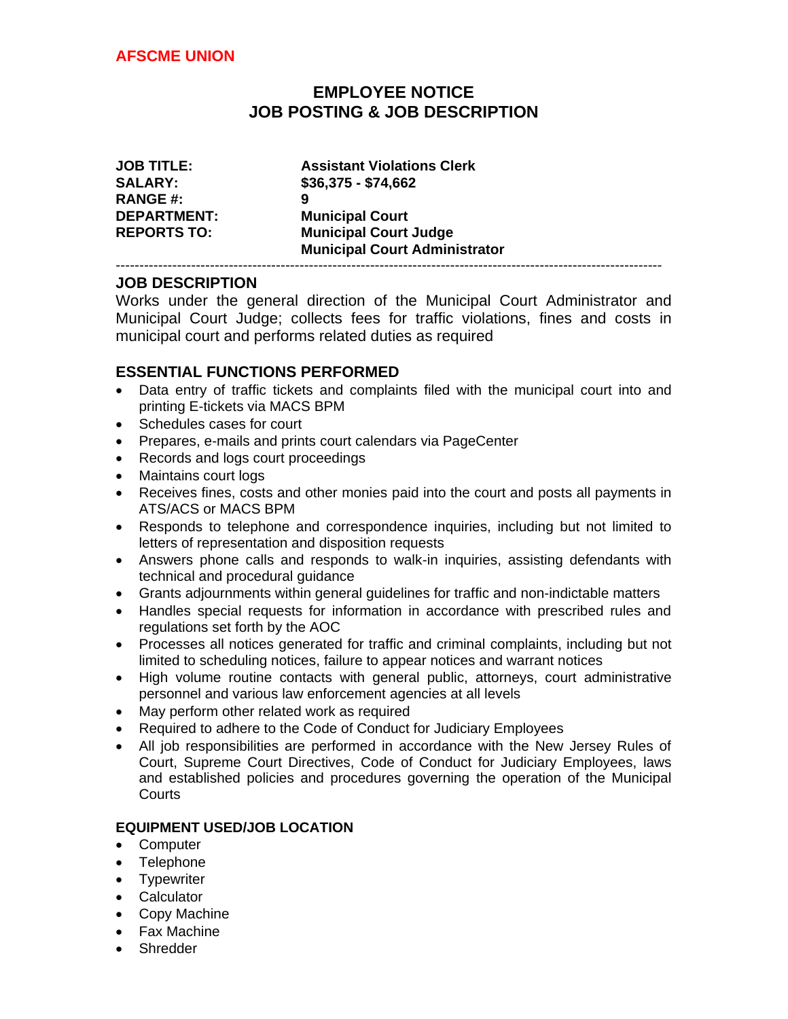# **EMPLOYEE NOTICE JOB POSTING & JOB DESCRIPTION**

| <b>JOB TITLE:</b>  | <b>Assistant Violations Clerk</b>    |
|--------------------|--------------------------------------|
| <b>SALARY:</b>     | $$36,375 - $74,662$                  |
| <b>RANGE#:</b>     | 9                                    |
| <b>DEPARTMENT:</b> | <b>Municipal Court</b>               |
| <b>REPORTS TO:</b> | <b>Municipal Court Judge</b>         |
|                    | <b>Municipal Court Administrator</b> |
|                    |                                      |

### **JOB DESCRIPTION**

Works under the general direction of the Municipal Court Administrator and Municipal Court Judge; collects fees for traffic violations, fines and costs in municipal court and performs related duties as required

### **ESSENTIAL FUNCTIONS PERFORMED**

- Data entry of traffic tickets and complaints filed with the municipal court into and printing E-tickets via MACS BPM
- Schedules cases for court
- Prepares, e-mails and prints court calendars via PageCenter
- Records and logs court proceedings
- Maintains court logs
- Receives fines, costs and other monies paid into the court and posts all payments in ATS/ACS or MACS BPM
- Responds to telephone and correspondence inquiries, including but not limited to letters of representation and disposition requests
- Answers phone calls and responds to walk-in inquiries, assisting defendants with technical and procedural guidance
- Grants adjournments within general guidelines for traffic and non-indictable matters
- Handles special requests for information in accordance with prescribed rules and regulations set forth by the AOC
- Processes all notices generated for traffic and criminal complaints, including but not limited to scheduling notices, failure to appear notices and warrant notices
- High volume routine contacts with general public, attorneys, court administrative personnel and various law enforcement agencies at all levels
- May perform other related work as required
- Required to adhere to the Code of Conduct for Judiciary Employees
- All job responsibilities are performed in accordance with the New Jersey Rules of Court, Supreme Court Directives, Code of Conduct for Judiciary Employees, laws and established policies and procedures governing the operation of the Municipal **Courts**

#### **EQUIPMENT USED/JOB LOCATION**

- Computer
- Telephone
- Typewriter
- Calculator
- Copy Machine
- Fax Machine
- Shredder